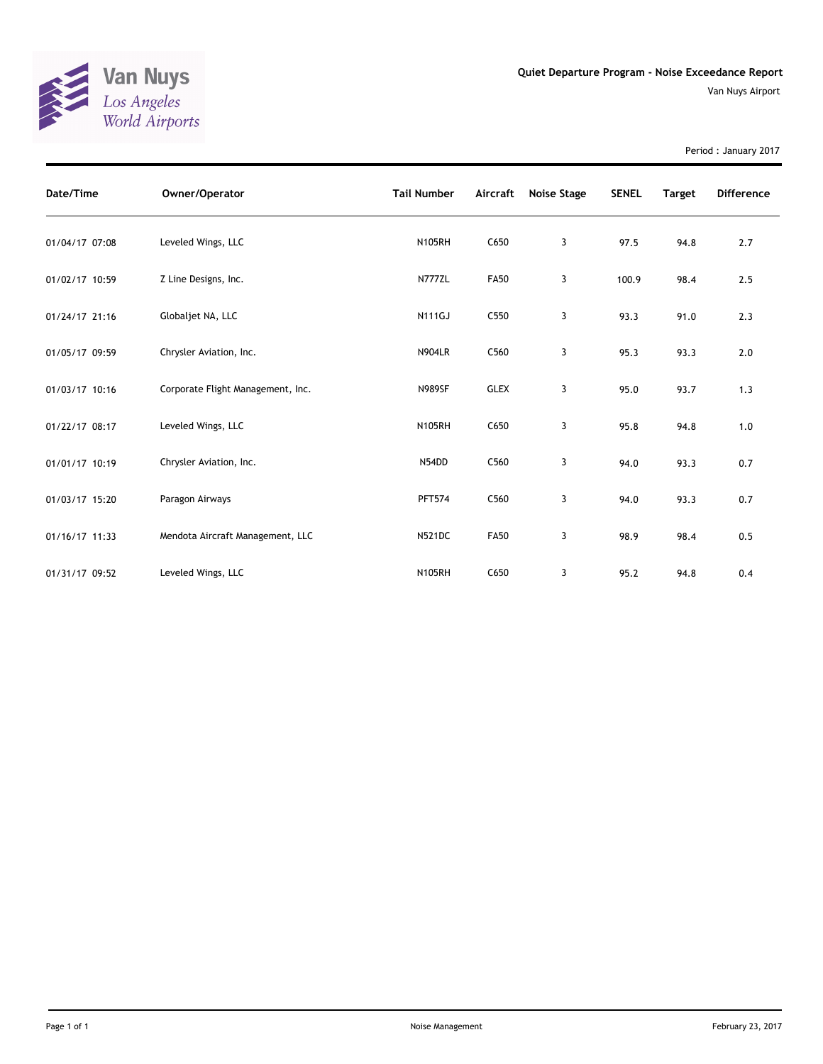

Period : January 2017

| Date/Time      | Owner/Operator                    | <b>Tail Number</b> | Aircraft    | Noise Stage | <b>SENEL</b> | <b>Target</b> | <b>Difference</b> |
|----------------|-----------------------------------|--------------------|-------------|-------------|--------------|---------------|-------------------|
| 01/04/17 07:08 | Leveled Wings, LLC                | <b>N105RH</b>      | C650        | 3           | 97.5         | 94.8          | 2.7               |
| 01/02/17 10:59 | Z Line Designs, Inc.              | N777ZL             | <b>FA50</b> | 3           | 100.9        | 98.4          | 2.5               |
| 01/24/17 21:16 | Globaljet NA, LLC                 | <b>N111GJ</b>      | C550        | 3           | 93.3         | 91.0          | 2.3               |
| 01/05/17 09:59 | Chrysler Aviation, Inc.           | <b>N904LR</b>      | C560        | 3           | 95.3         | 93.3          | 2.0               |
| 01/03/17 10:16 | Corporate Flight Management, Inc. | <b>N989SF</b>      | <b>GLEX</b> | 3           | 95.0         | 93.7          | 1.3               |
| 01/22/17 08:17 | Leveled Wings, LLC                | <b>N105RH</b>      | C650        | 3           | 95.8         | 94.8          | 1.0               |
| 01/01/17 10:19 | Chrysler Aviation, Inc.           | N54DD              | C560        | 3           | 94.0         | 93.3          | 0.7               |
| 01/03/17 15:20 | Paragon Airways                   | <b>PFT574</b>      | C560        | 3           | 94.0         | 93.3          | 0.7               |
| 01/16/17 11:33 | Mendota Aircraft Management, LLC  | <b>N521DC</b>      | <b>FA50</b> | 3           | 98.9         | 98.4          | 0.5               |
| 01/31/17 09:52 | Leveled Wings, LLC                | <b>N105RH</b>      | C650        | 3           | 95.2         | 94.8          | 0.4               |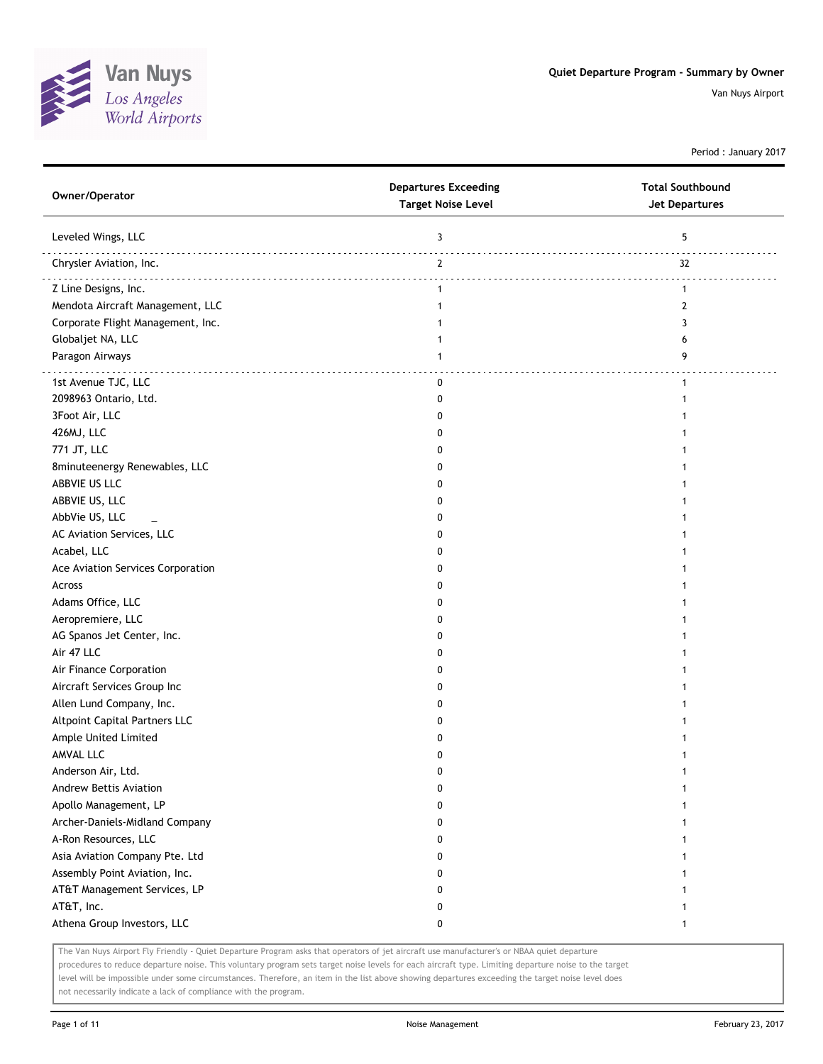

Period : January 2017

| Owner/Operator                    | <b>Departures Exceeding</b><br><b>Target Noise Level</b> | <b>Total Southbound</b><br><b>Jet Departures</b> |
|-----------------------------------|----------------------------------------------------------|--------------------------------------------------|
| Leveled Wings, LLC                | 3                                                        | 5                                                |
| Chrysler Aviation, Inc.           | $\overline{2}$                                           | 32                                               |
| Z Line Designs, Inc.              | $\mathbf{1}$                                             | $\mathbf{1}$                                     |
| Mendota Aircraft Management, LLC  | 1                                                        | 2                                                |
| Corporate Flight Management, Inc. |                                                          | 3                                                |
| Globaljet NA, LLC                 | 1                                                        | 6                                                |
| Paragon Airways                   | 1                                                        | 9                                                |
| 1st Avenue TJC, LLC               | 0                                                        | $\mathbf{1}$                                     |
| 2098963 Ontario, Ltd.             | 0                                                        |                                                  |
| 3Foot Air, LLC                    | 0                                                        |                                                  |
| 426MJ, LLC                        | 0                                                        |                                                  |
| 771 JT, LLC                       | 0                                                        |                                                  |
| 8minuteenergy Renewables, LLC     | 0                                                        |                                                  |
| ABBVIE US LLC                     | 0                                                        |                                                  |
| ABBVIE US, LLC                    | 0                                                        |                                                  |
| AbbVie US, LLC                    | 0                                                        |                                                  |
| AC Aviation Services, LLC         | 0                                                        |                                                  |
| Acabel, LLC                       | 0                                                        |                                                  |
| Ace Aviation Services Corporation | 0                                                        |                                                  |
| Across                            | 0                                                        |                                                  |
| Adams Office, LLC                 | 0                                                        |                                                  |
| Aeropremiere, LLC                 | 0                                                        |                                                  |
| AG Spanos Jet Center, Inc.        | 0                                                        |                                                  |
| Air 47 LLC                        | 0                                                        |                                                  |
| Air Finance Corporation           | 0                                                        |                                                  |
| Aircraft Services Group Inc       | 0                                                        |                                                  |
| Allen Lund Company, Inc.          | 0                                                        |                                                  |
| Altpoint Capital Partners LLC     | 0                                                        |                                                  |
| Ample United Limited              | 0                                                        |                                                  |
| AMVAL LLC                         | 0                                                        |                                                  |
| Anderson Air, Ltd.                | 0                                                        |                                                  |
| Andrew Bettis Aviation            | 0                                                        | 1                                                |
| Apollo Management, LP             | 0                                                        |                                                  |
| Archer-Daniels-Midland Company    | 0                                                        |                                                  |
| A-Ron Resources, LLC              | 0                                                        |                                                  |
| Asia Aviation Company Pte. Ltd    | 0                                                        |                                                  |
| Assembly Point Aviation, Inc.     | 0                                                        |                                                  |
| AT&T Management Services, LP      | 0                                                        |                                                  |
| AT&T, Inc.                        | 0                                                        |                                                  |
| Athena Group Investors, LLC       | 0                                                        | 1                                                |

The Van Nuys Airport Fly Friendly - Quiet Departure Program asks that operators of jet aircraft use manufacturer's or NBAA quiet departure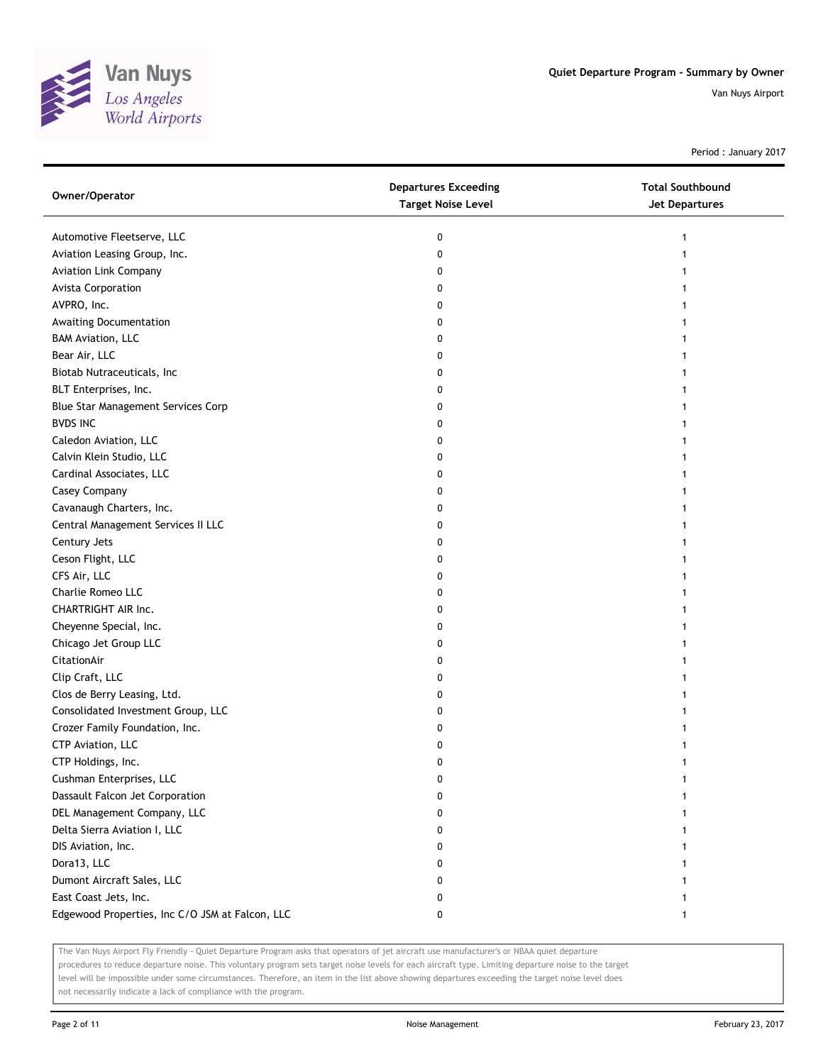

Period : January 2017

| Owner/Operator                                  | <b>Departures Exceeding</b><br><b>Target Noise Level</b> | <b>Total Southbound</b><br>Jet Departures |
|-------------------------------------------------|----------------------------------------------------------|-------------------------------------------|
| Automotive Fleetserve, LLC                      | 0                                                        | 1                                         |
| Aviation Leasing Group, Inc.                    | 0                                                        |                                           |
| <b>Aviation Link Company</b>                    | 0                                                        |                                           |
| Avista Corporation                              | 0                                                        |                                           |
| AVPRO, Inc.                                     | 0                                                        |                                           |
| Awaiting Documentation                          | 0                                                        |                                           |
| <b>BAM Aviation, LLC</b>                        | 0                                                        |                                           |
| Bear Air, LLC                                   | 0                                                        |                                           |
| Biotab Nutraceuticals, Inc                      | 0                                                        |                                           |
| BLT Enterprises, Inc.                           | 0                                                        |                                           |
| Blue Star Management Services Corp              | 0                                                        |                                           |
| <b>BVDS INC</b>                                 | 0                                                        |                                           |
| Caledon Aviation, LLC                           | 0                                                        |                                           |
| Calvin Klein Studio, LLC                        | 0                                                        |                                           |
| Cardinal Associates, LLC                        | 0                                                        |                                           |
| Casey Company                                   | 0                                                        |                                           |
| Cavanaugh Charters, Inc.                        | 0                                                        |                                           |
| Central Management Services II LLC              | 0                                                        |                                           |
| Century Jets                                    | 0                                                        |                                           |
| Ceson Flight, LLC                               | 0                                                        |                                           |
| CFS Air, LLC                                    | 0                                                        |                                           |
| Charlie Romeo LLC                               | 0                                                        |                                           |
| CHARTRIGHT AIR Inc.                             | 0                                                        |                                           |
| Cheyenne Special, Inc.                          | 0                                                        |                                           |
| Chicago Jet Group LLC                           | 0                                                        |                                           |
| CitationAir                                     | 0                                                        |                                           |
| Clip Craft, LLC                                 | 0                                                        |                                           |
| Clos de Berry Leasing, Ltd.                     | 0                                                        |                                           |
| Consolidated Investment Group, LLC              | 0                                                        |                                           |
| Crozer Family Foundation, Inc.                  | 0                                                        |                                           |
| CTP Aviation, LLC                               | 0                                                        |                                           |
| CTP Holdings, Inc.                              | 0                                                        |                                           |
| Cushman Enterprises, LLC                        | 0                                                        |                                           |
| Dassault Falcon Jet Corporation                 | 0                                                        |                                           |
| DEL Management Company, LLC                     | 0                                                        |                                           |
| Delta Sierra Aviation I, LLC                    | 0                                                        |                                           |
| DIS Aviation, Inc.                              | 0                                                        |                                           |
| Dora13, LLC                                     | 0                                                        |                                           |
| Dumont Aircraft Sales, LLC                      | 0                                                        |                                           |
| East Coast Jets, Inc.                           | 0                                                        |                                           |
| Edgewood Properties, Inc C/O JSM at Falcon, LLC | 0                                                        |                                           |

The Van Nuys Airport Fly Friendly - Quiet Departure Program asks that operators of jet aircraft use manufacturer's or NBAA quiet departure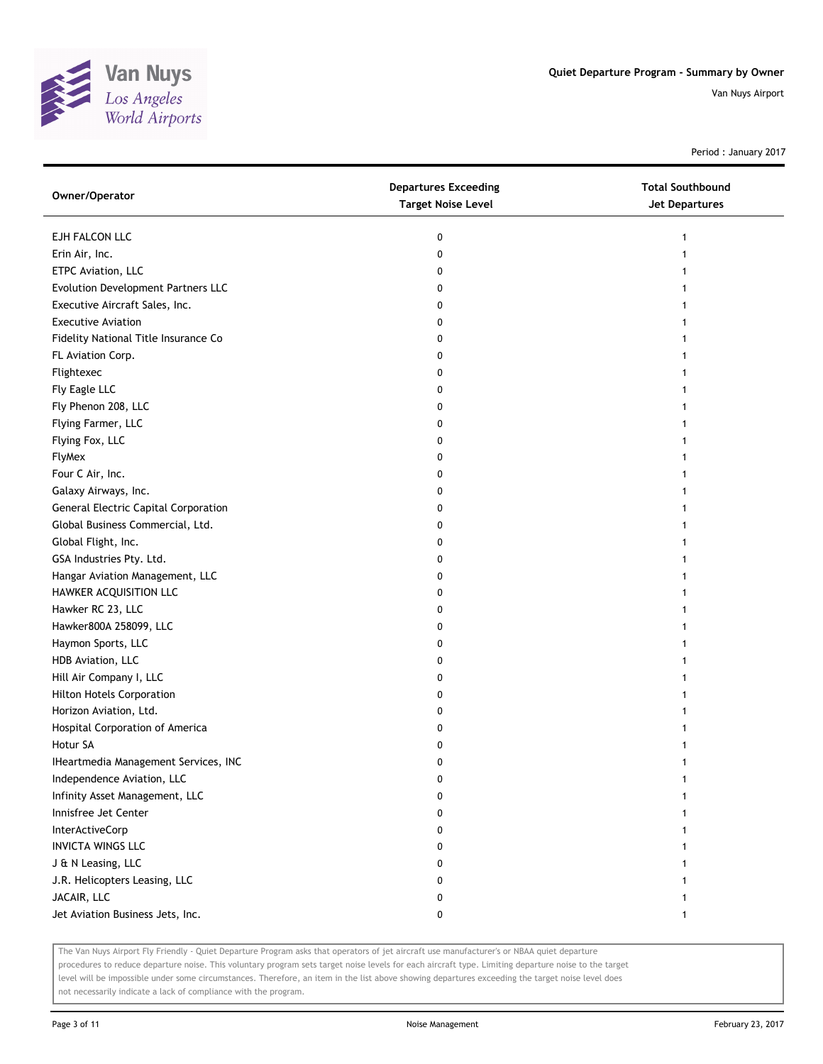

Period : January 2017

| Owner/Operator                              | <b>Departures Exceeding</b><br><b>Target Noise Level</b> | <b>Total Southbound</b><br>Jet Departures |
|---------------------------------------------|----------------------------------------------------------|-------------------------------------------|
| EJH FALCON LLC                              | 0                                                        |                                           |
| Erin Air, Inc.                              | 0                                                        |                                           |
| ETPC Aviation, LLC                          | 0                                                        |                                           |
| Evolution Development Partners LLC          | 0                                                        |                                           |
| Executive Aircraft Sales, Inc.              | 0                                                        |                                           |
| <b>Executive Aviation</b>                   | 0                                                        |                                           |
| Fidelity National Title Insurance Co        | 0                                                        |                                           |
| FL Aviation Corp.                           | 0                                                        |                                           |
| Flightexec                                  | 0                                                        |                                           |
| Fly Eagle LLC                               | 0                                                        |                                           |
| Fly Phenon 208, LLC                         | 0                                                        |                                           |
| Flying Farmer, LLC                          | 0                                                        |                                           |
| Flying Fox, LLC                             | 0                                                        |                                           |
| FlyMex                                      | 0                                                        |                                           |
| Four C Air, Inc.                            | 0                                                        |                                           |
| Galaxy Airways, Inc.                        | 0                                                        |                                           |
| <b>General Electric Capital Corporation</b> | 0                                                        |                                           |
| Global Business Commercial, Ltd.            | 0                                                        |                                           |
| Global Flight, Inc.                         | 0                                                        |                                           |
| GSA Industries Pty. Ltd.                    | 0                                                        |                                           |
| Hangar Aviation Management, LLC             | 0                                                        |                                           |
| HAWKER ACQUISITION LLC                      | 0                                                        |                                           |
| Hawker RC 23, LLC                           | 0                                                        |                                           |
| Hawker800A 258099, LLC                      | 0                                                        |                                           |
| Haymon Sports, LLC                          | 0                                                        |                                           |
| HDB Aviation, LLC                           | 0                                                        |                                           |
| Hill Air Company I, LLC                     | 0                                                        |                                           |
| <b>Hilton Hotels Corporation</b>            | 0                                                        |                                           |
| Horizon Aviation, Ltd.                      | 0                                                        |                                           |
| Hospital Corporation of America             | 0                                                        |                                           |
| Hotur SA                                    | 0                                                        |                                           |
| IHeartmedia Management Services, INC        | 0                                                        |                                           |
| Independence Aviation, LLC                  | 0                                                        |                                           |
| Infinity Asset Management, LLC              | 0                                                        |                                           |
| Innisfree Jet Center                        | 0                                                        |                                           |
| InterActiveCorp                             | 0                                                        |                                           |
| <b>INVICTA WINGS LLC</b>                    | 0                                                        |                                           |
| J & N Leasing, LLC                          | 0                                                        |                                           |
| J.R. Helicopters Leasing, LLC               | 0                                                        |                                           |
| JACAIR, LLC                                 | 0                                                        |                                           |
| Jet Aviation Business Jets, Inc.            | 0                                                        | 1                                         |

The Van Nuys Airport Fly Friendly - Quiet Departure Program asks that operators of jet aircraft use manufacturer's or NBAA quiet departure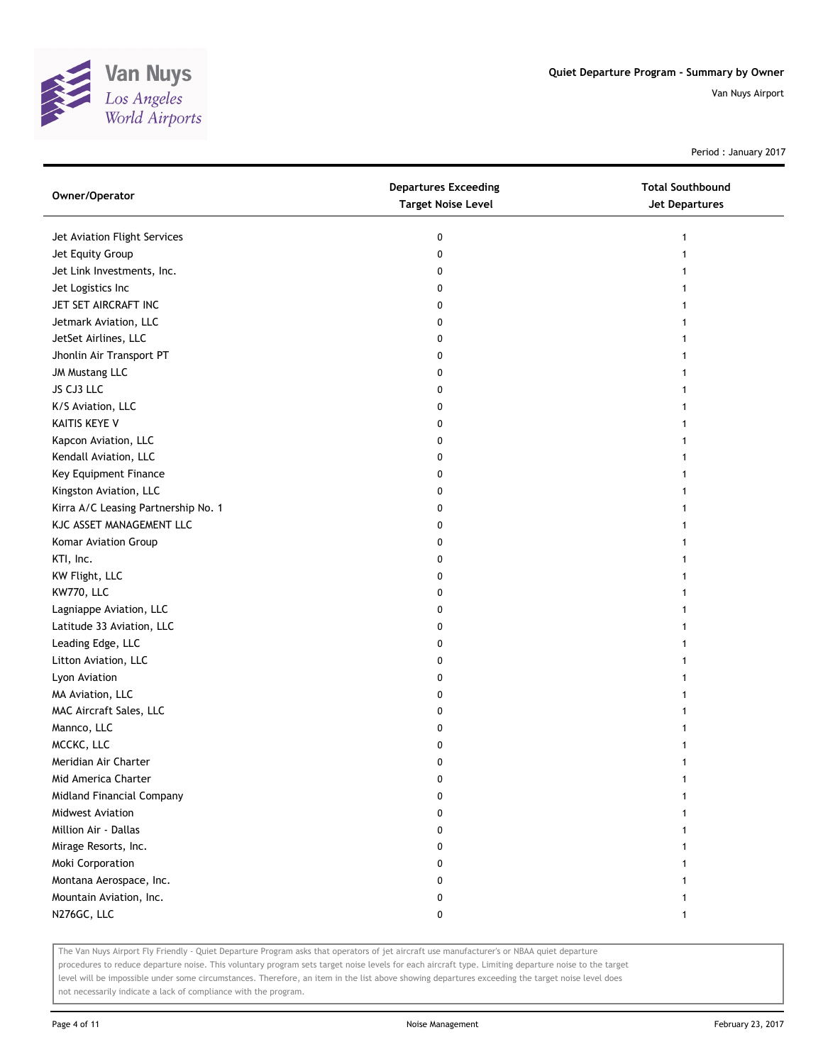

Period : January 2017

| Owner/Operator                      | <b>Departures Exceeding</b><br><b>Target Noise Level</b> | <b>Total Southbound</b><br><b>Jet Departures</b> |
|-------------------------------------|----------------------------------------------------------|--------------------------------------------------|
| Jet Aviation Flight Services        | 0                                                        | 1                                                |
| Jet Equity Group                    | 0                                                        | 1                                                |
| Jet Link Investments, Inc.          | 0                                                        | 1                                                |
| Jet Logistics Inc                   | 0                                                        | 1                                                |
| JET SET AIRCRAFT INC                | 0                                                        | 1                                                |
| Jetmark Aviation, LLC               | 0                                                        | 1                                                |
| JetSet Airlines, LLC                | 0                                                        |                                                  |
| Jhonlin Air Transport PT            | 0                                                        |                                                  |
| JM Mustang LLC                      | 0                                                        |                                                  |
| JS CJ3 LLC                          | 0                                                        |                                                  |
| K/S Aviation, LLC                   | 0                                                        |                                                  |
| KAITIS KEYE V                       | 0                                                        |                                                  |
| Kapcon Aviation, LLC                | 0                                                        |                                                  |
| Kendall Aviation, LLC               | 0                                                        | 1                                                |
| Key Equipment Finance               | 0                                                        | 1                                                |
| Kingston Aviation, LLC              | 0                                                        |                                                  |
| Kirra A/C Leasing Partnership No. 1 | 0                                                        |                                                  |
| KJC ASSET MANAGEMENT LLC            | 0                                                        |                                                  |
| Komar Aviation Group                | 0                                                        |                                                  |
| KTI, Inc.                           | 0                                                        |                                                  |
| KW Flight, LLC                      | 0                                                        |                                                  |
| KW770, LLC                          | 0                                                        |                                                  |
| Lagniappe Aviation, LLC             | 0                                                        |                                                  |
| Latitude 33 Aviation, LLC           | 0                                                        |                                                  |
| Leading Edge, LLC                   | 0                                                        | 1                                                |
| Litton Aviation, LLC                | 0                                                        |                                                  |
| Lyon Aviation                       | 0                                                        |                                                  |
| MA Aviation, LLC                    | 0                                                        |                                                  |
| MAC Aircraft Sales, LLC             | 0                                                        |                                                  |
| Mannco, LLC                         | 0                                                        |                                                  |
| MCCKC, LLC                          | 0                                                        |                                                  |
| Meridian Air Charter                | 0                                                        | 1                                                |
| Mid America Charter                 | 0                                                        |                                                  |
| Midland Financial Company           | 0                                                        |                                                  |
| Midwest Aviation                    | 0                                                        |                                                  |
| Million Air - Dallas                | 0                                                        |                                                  |
| Mirage Resorts, Inc.                | 0                                                        |                                                  |
| Moki Corporation                    | 0                                                        |                                                  |
| Montana Aerospace, Inc.             | 0                                                        |                                                  |
| Mountain Aviation, Inc.             | 0                                                        |                                                  |
| N276GC, LLC                         | 0                                                        |                                                  |

The Van Nuys Airport Fly Friendly - Quiet Departure Program asks that operators of jet aircraft use manufacturer's or NBAA quiet departure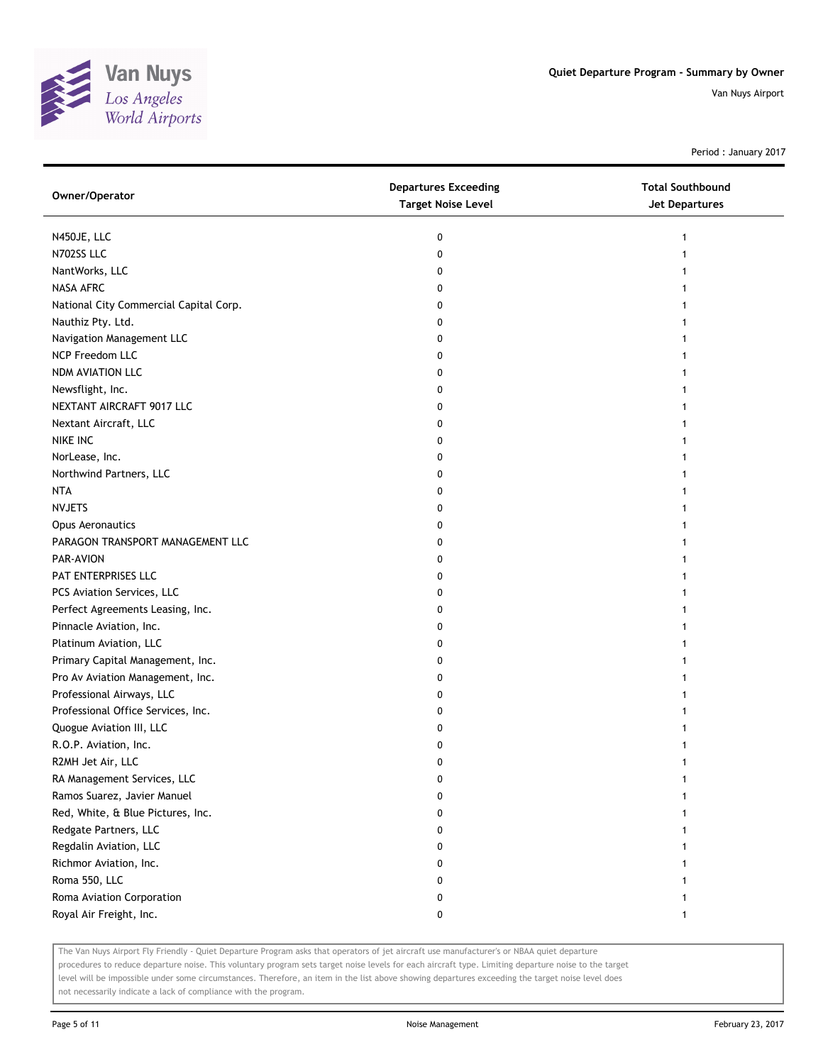

Period : January 2017

| N450JE, LLC<br>0<br>N702SS LLC<br>0<br>NantWorks, LLC<br>0<br>0<br>National City Commercial Capital Corp.<br>0<br>0<br>0<br>0<br>0<br>0<br>0<br>0<br>0<br>0<br>0<br><b>NTA</b><br>0<br>0<br>0<br>0<br>PAR-AVION<br>0<br>0<br>0<br>Perfect Agreements Leasing, Inc.<br>0<br>Pinnacle Aviation, Inc.<br>0<br>0<br>0<br>0<br>0<br>0<br>0<br>0<br>R2MH Jet Air, LLC<br>0<br>RA Management Services, LLC<br>0<br>Ramos Suarez, Javier Manuel<br>0<br>Red, White, & Blue Pictures, Inc.<br>0<br>Redgate Partners, LLC<br>0<br>Regdalin Aviation, LLC<br>0<br>Richmor Aviation, Inc.<br>0<br>Roma 550, LLC<br>0 | Owner/Operator                     | <b>Departures Exceeding</b><br><b>Target Noise Level</b> | <b>Total Southbound</b><br><b>Jet Departures</b> |
|----------------------------------------------------------------------------------------------------------------------------------------------------------------------------------------------------------------------------------------------------------------------------------------------------------------------------------------------------------------------------------------------------------------------------------------------------------------------------------------------------------------------------------------------------------------------------------------------------------|------------------------------------|----------------------------------------------------------|--------------------------------------------------|
|                                                                                                                                                                                                                                                                                                                                                                                                                                                                                                                                                                                                          |                                    |                                                          |                                                  |
|                                                                                                                                                                                                                                                                                                                                                                                                                                                                                                                                                                                                          |                                    |                                                          |                                                  |
|                                                                                                                                                                                                                                                                                                                                                                                                                                                                                                                                                                                                          |                                    |                                                          |                                                  |
|                                                                                                                                                                                                                                                                                                                                                                                                                                                                                                                                                                                                          | NASA AFRC                          |                                                          |                                                  |
|                                                                                                                                                                                                                                                                                                                                                                                                                                                                                                                                                                                                          |                                    |                                                          |                                                  |
|                                                                                                                                                                                                                                                                                                                                                                                                                                                                                                                                                                                                          | Nauthiz Pty. Ltd.                  |                                                          |                                                  |
|                                                                                                                                                                                                                                                                                                                                                                                                                                                                                                                                                                                                          | Navigation Management LLC          |                                                          |                                                  |
|                                                                                                                                                                                                                                                                                                                                                                                                                                                                                                                                                                                                          | NCP Freedom LLC                    |                                                          |                                                  |
|                                                                                                                                                                                                                                                                                                                                                                                                                                                                                                                                                                                                          | NDM AVIATION LLC                   |                                                          |                                                  |
|                                                                                                                                                                                                                                                                                                                                                                                                                                                                                                                                                                                                          | Newsflight, Inc.                   |                                                          |                                                  |
|                                                                                                                                                                                                                                                                                                                                                                                                                                                                                                                                                                                                          | NEXTANT AIRCRAFT 9017 LLC          |                                                          |                                                  |
|                                                                                                                                                                                                                                                                                                                                                                                                                                                                                                                                                                                                          | Nextant Aircraft, LLC              |                                                          |                                                  |
|                                                                                                                                                                                                                                                                                                                                                                                                                                                                                                                                                                                                          | NIKE INC                           |                                                          |                                                  |
|                                                                                                                                                                                                                                                                                                                                                                                                                                                                                                                                                                                                          | NorLease, Inc.                     |                                                          |                                                  |
|                                                                                                                                                                                                                                                                                                                                                                                                                                                                                                                                                                                                          | Northwind Partners, LLC            |                                                          |                                                  |
|                                                                                                                                                                                                                                                                                                                                                                                                                                                                                                                                                                                                          |                                    |                                                          |                                                  |
|                                                                                                                                                                                                                                                                                                                                                                                                                                                                                                                                                                                                          | <b>NVJETS</b>                      |                                                          |                                                  |
|                                                                                                                                                                                                                                                                                                                                                                                                                                                                                                                                                                                                          | <b>Opus Aeronautics</b>            |                                                          |                                                  |
|                                                                                                                                                                                                                                                                                                                                                                                                                                                                                                                                                                                                          | PARAGON TRANSPORT MANAGEMENT LLC   |                                                          |                                                  |
|                                                                                                                                                                                                                                                                                                                                                                                                                                                                                                                                                                                                          |                                    |                                                          |                                                  |
|                                                                                                                                                                                                                                                                                                                                                                                                                                                                                                                                                                                                          | PAT ENTERPRISES LLC                |                                                          |                                                  |
|                                                                                                                                                                                                                                                                                                                                                                                                                                                                                                                                                                                                          | PCS Aviation Services, LLC         |                                                          |                                                  |
|                                                                                                                                                                                                                                                                                                                                                                                                                                                                                                                                                                                                          |                                    |                                                          |                                                  |
|                                                                                                                                                                                                                                                                                                                                                                                                                                                                                                                                                                                                          |                                    |                                                          |                                                  |
|                                                                                                                                                                                                                                                                                                                                                                                                                                                                                                                                                                                                          | Platinum Aviation, LLC             |                                                          |                                                  |
|                                                                                                                                                                                                                                                                                                                                                                                                                                                                                                                                                                                                          | Primary Capital Management, Inc.   |                                                          |                                                  |
|                                                                                                                                                                                                                                                                                                                                                                                                                                                                                                                                                                                                          | Pro Av Aviation Management, Inc.   |                                                          |                                                  |
|                                                                                                                                                                                                                                                                                                                                                                                                                                                                                                                                                                                                          | Professional Airways, LLC          |                                                          |                                                  |
|                                                                                                                                                                                                                                                                                                                                                                                                                                                                                                                                                                                                          | Professional Office Services, Inc. |                                                          |                                                  |
|                                                                                                                                                                                                                                                                                                                                                                                                                                                                                                                                                                                                          | Quogue Aviation III, LLC           |                                                          |                                                  |
|                                                                                                                                                                                                                                                                                                                                                                                                                                                                                                                                                                                                          | R.O.P. Aviation, Inc.              |                                                          |                                                  |
|                                                                                                                                                                                                                                                                                                                                                                                                                                                                                                                                                                                                          |                                    |                                                          |                                                  |
|                                                                                                                                                                                                                                                                                                                                                                                                                                                                                                                                                                                                          |                                    |                                                          |                                                  |
|                                                                                                                                                                                                                                                                                                                                                                                                                                                                                                                                                                                                          |                                    |                                                          |                                                  |
|                                                                                                                                                                                                                                                                                                                                                                                                                                                                                                                                                                                                          |                                    |                                                          |                                                  |
|                                                                                                                                                                                                                                                                                                                                                                                                                                                                                                                                                                                                          |                                    |                                                          |                                                  |
|                                                                                                                                                                                                                                                                                                                                                                                                                                                                                                                                                                                                          |                                    |                                                          |                                                  |
|                                                                                                                                                                                                                                                                                                                                                                                                                                                                                                                                                                                                          |                                    |                                                          |                                                  |
|                                                                                                                                                                                                                                                                                                                                                                                                                                                                                                                                                                                                          |                                    |                                                          |                                                  |
| Roma Aviation Corporation<br>0                                                                                                                                                                                                                                                                                                                                                                                                                                                                                                                                                                           |                                    |                                                          |                                                  |
| Royal Air Freight, Inc.<br>0                                                                                                                                                                                                                                                                                                                                                                                                                                                                                                                                                                             |                                    |                                                          |                                                  |

The Van Nuys Airport Fly Friendly - Quiet Departure Program asks that operators of jet aircraft use manufacturer's or NBAA quiet departure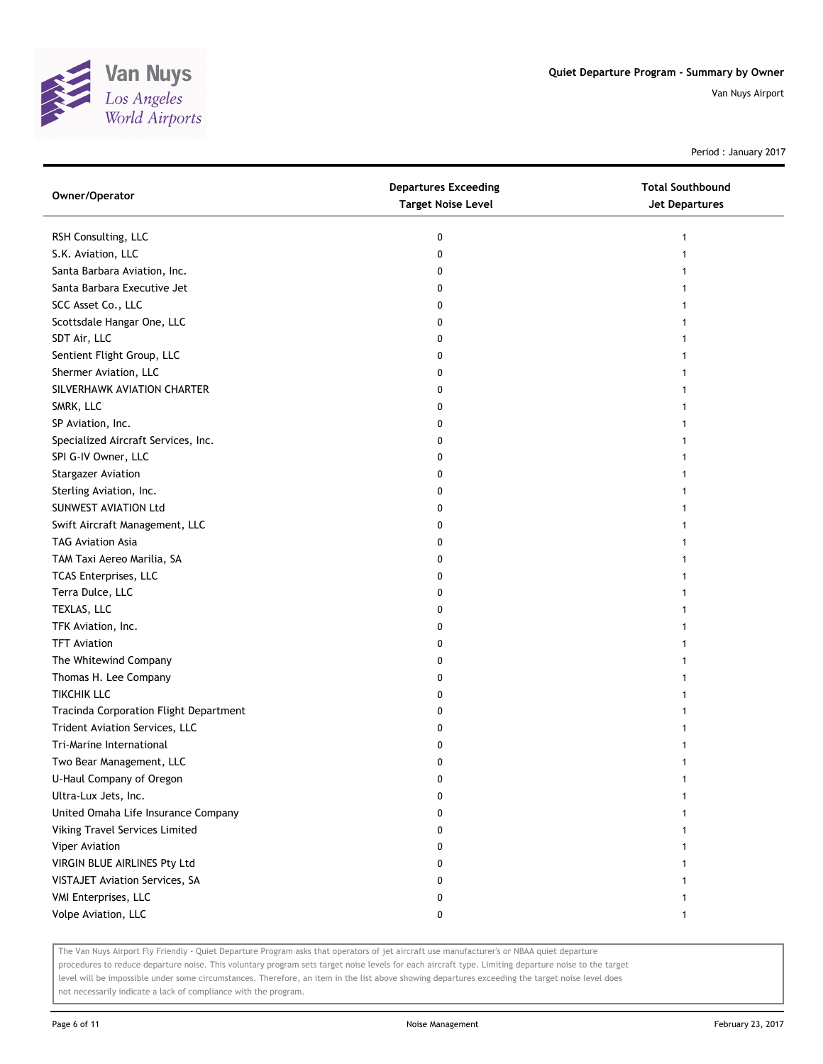

Period : January 2017

| Owner/Operator                         | <b>Departures Exceeding</b><br><b>Target Noise Level</b> | <b>Total Southbound</b><br><b>Jet Departures</b> |
|----------------------------------------|----------------------------------------------------------|--------------------------------------------------|
| RSH Consulting, LLC                    | 0                                                        | 1                                                |
| S.K. Aviation, LLC                     | 0                                                        |                                                  |
| Santa Barbara Aviation, Inc.           | 0                                                        |                                                  |
| Santa Barbara Executive Jet            | 0                                                        |                                                  |
| SCC Asset Co., LLC                     | 0                                                        |                                                  |
| Scottsdale Hangar One, LLC             | 0                                                        |                                                  |
| SDT Air, LLC                           | 0                                                        |                                                  |
| Sentient Flight Group, LLC             | 0                                                        |                                                  |
| Shermer Aviation, LLC                  | 0                                                        |                                                  |
| SILVERHAWK AVIATION CHARTER            | 0                                                        |                                                  |
| SMRK, LLC                              | 0                                                        |                                                  |
| SP Aviation, Inc.                      | 0                                                        |                                                  |
| Specialized Aircraft Services, Inc.    | 0                                                        |                                                  |
| SPI G-IV Owner, LLC                    | 0                                                        |                                                  |
| <b>Stargazer Aviation</b>              | 0                                                        |                                                  |
| Sterling Aviation, Inc.                | 0                                                        |                                                  |
| SUNWEST AVIATION Ltd                   | 0                                                        |                                                  |
| Swift Aircraft Management, LLC         | 0                                                        |                                                  |
| <b>TAG Aviation Asia</b>               | 0                                                        |                                                  |
| TAM Taxi Aereo Marilia, SA             | 0                                                        |                                                  |
| TCAS Enterprises, LLC                  | 0                                                        |                                                  |
| Terra Dulce, LLC                       | 0                                                        |                                                  |
| TEXLAS, LLC                            | 0                                                        |                                                  |
| TFK Aviation, Inc.                     | 0                                                        |                                                  |
| <b>TFT Aviation</b>                    | 0                                                        |                                                  |
| The Whitewind Company                  | 0                                                        |                                                  |
| Thomas H. Lee Company                  | 0                                                        |                                                  |
| <b>TIKCHIK LLC</b>                     | 0                                                        |                                                  |
| Tracinda Corporation Flight Department | 0                                                        |                                                  |
| Trident Aviation Services, LLC         | 0                                                        |                                                  |
| Tri-Marine International               | 0                                                        |                                                  |
| Two Bear Management, LLC               | 0                                                        | 1                                                |
| U-Haul Company of Oregon               | 0                                                        |                                                  |
| Ultra-Lux Jets, Inc.                   | 0                                                        |                                                  |
| United Omaha Life Insurance Company    | 0                                                        |                                                  |
| Viking Travel Services Limited         | 0                                                        |                                                  |
| Viper Aviation                         | 0                                                        |                                                  |
| VIRGIN BLUE AIRLINES Pty Ltd           | 0                                                        |                                                  |
| <b>VISTAJET Aviation Services, SA</b>  | 0                                                        |                                                  |
| VMI Enterprises, LLC                   | 0                                                        |                                                  |
| Volpe Aviation, LLC                    | 0                                                        | 1                                                |
|                                        |                                                          |                                                  |

The Van Nuys Airport Fly Friendly - Quiet Departure Program asks that operators of jet aircraft use manufacturer's or NBAA quiet departure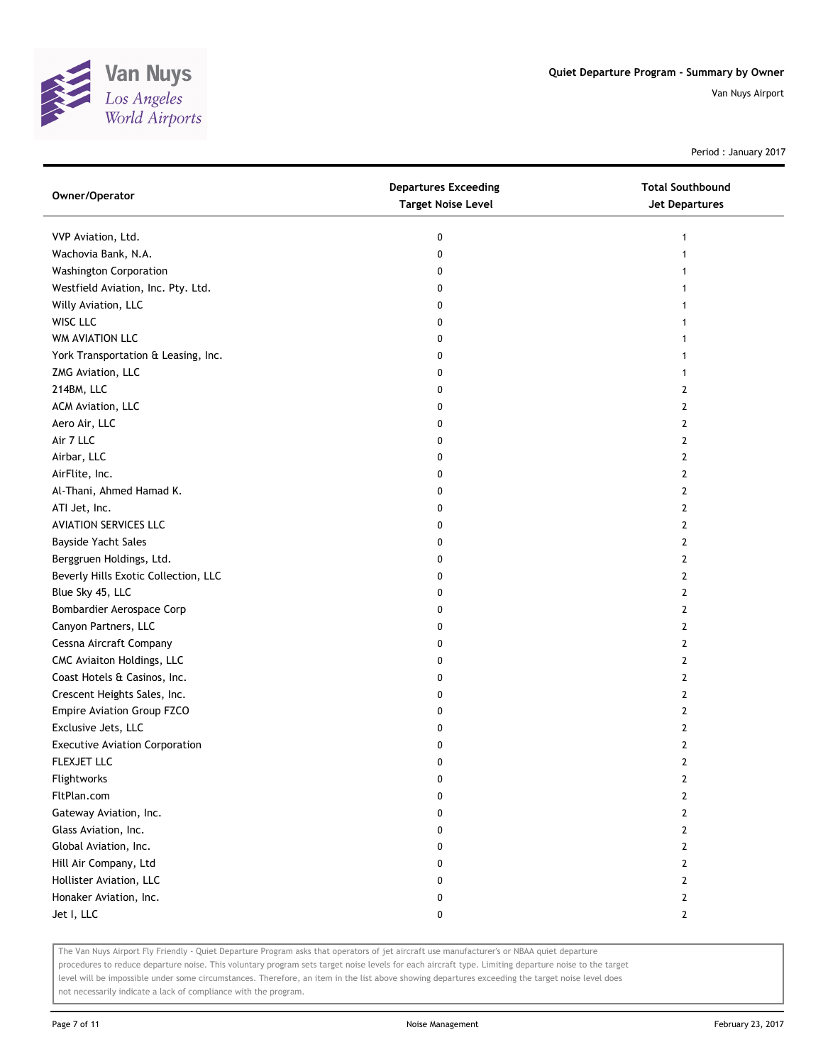

Period : January 2017

| Owner/Operator                        | <b>Departures Exceeding</b><br><b>Target Noise Level</b> | <b>Total Southbound</b><br>Jet Departures |
|---------------------------------------|----------------------------------------------------------|-------------------------------------------|
| VVP Aviation, Ltd.                    | 0                                                        | 1                                         |
| Wachovia Bank, N.A.                   | 0                                                        | 1                                         |
| <b>Washington Corporation</b>         | 0                                                        |                                           |
| Westfield Aviation, Inc. Pty. Ltd.    | 0                                                        | 1                                         |
| Willy Aviation, LLC                   | 0                                                        | 1                                         |
| WISC LLC                              | 0                                                        | 1                                         |
| WM AVIATION LLC                       | 0                                                        |                                           |
| York Transportation & Leasing, Inc.   | 0                                                        |                                           |
| ZMG Aviation, LLC                     | 0                                                        |                                           |
| 214BM, LLC                            | 0                                                        | 2                                         |
| ACM Aviation, LLC                     | 0                                                        | 2                                         |
| Aero Air, LLC                         | 0                                                        | 2                                         |
| Air 7 LLC                             | 0                                                        | 2                                         |
| Airbar, LLC                           | 0                                                        | 2                                         |
| AirFlite, Inc.                        | 0                                                        | 2                                         |
| Al-Thani, Ahmed Hamad K.              | 0                                                        | 2                                         |
| ATI Jet, Inc.                         | 0                                                        | 2                                         |
| <b>AVIATION SERVICES LLC</b>          | 0                                                        | 2                                         |
| Bayside Yacht Sales                   | 0                                                        | 2                                         |
| Berggruen Holdings, Ltd.              | 0                                                        | 2                                         |
| Beverly Hills Exotic Collection, LLC  | 0                                                        | $\overline{2}$                            |
| Blue Sky 45, LLC                      | 0                                                        | 2                                         |
| Bombardier Aerospace Corp             | 0                                                        | $\overline{2}$                            |
| Canyon Partners, LLC                  | 0                                                        | 2                                         |
| Cessna Aircraft Company               | 0                                                        | 2                                         |
| CMC Aviaiton Holdings, LLC            | 0                                                        | $\mathbf{2}$                              |
| Coast Hotels & Casinos, Inc.          | 0                                                        | 2                                         |
| Crescent Heights Sales, Inc.          | 0                                                        | 2                                         |
| Empire Aviation Group FZCO            | 0                                                        | 2                                         |
| Exclusive Jets, LLC                   | 0                                                        | 2                                         |
| <b>Executive Aviation Corporation</b> | 0                                                        | 2                                         |
| FLEXJET LLC                           | 0                                                        | $\overline{2}$                            |
| Flightworks                           | 0                                                        | 2                                         |
| FltPlan.com                           | 0                                                        | $\overline{2}$                            |
| Gateway Aviation, Inc.                | 0                                                        | $\overline{2}$                            |
| Glass Aviation, Inc.                  | 0                                                        | $\mathbf{2}$                              |
| Global Aviation, Inc.                 | 0                                                        | 2                                         |
| Hill Air Company, Ltd                 | 0                                                        | 2                                         |
| Hollister Aviation, LLC               | 0                                                        | 2                                         |
| Honaker Aviation, Inc.                | 0                                                        | 2                                         |
| Jet I, LLC                            | 0                                                        | $\mathbf{2}$                              |

The Van Nuys Airport Fly Friendly - Quiet Departure Program asks that operators of jet aircraft use manufacturer's or NBAA quiet departure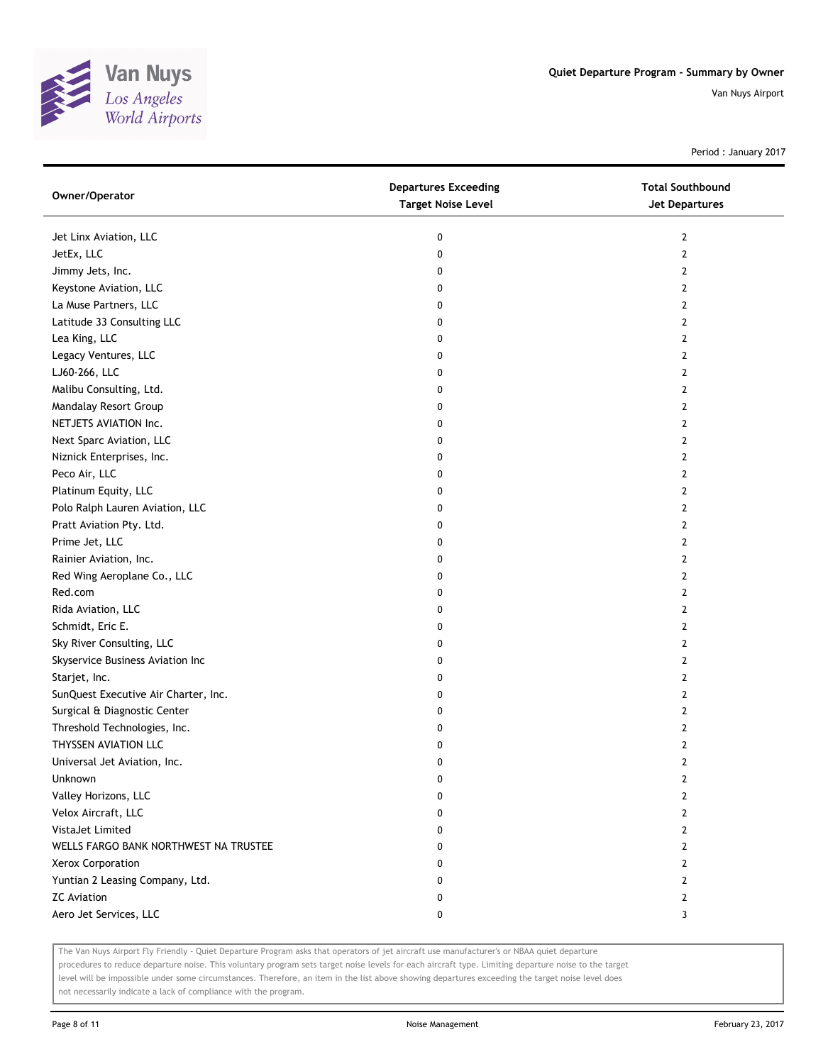

Period : January 2017

| Owner/Operator                        | <b>Departures Exceeding</b><br><b>Target Noise Level</b> | <b>Total Southbound</b><br>Jet Departures |
|---------------------------------------|----------------------------------------------------------|-------------------------------------------|
| Jet Linx Aviation, LLC                | 0                                                        | 2                                         |
| JetEx, LLC                            | 0                                                        | $\mathbf{2}$                              |
| Jimmy Jets, Inc.                      | 0                                                        | $\mathbf{2}$                              |
| Keystone Aviation, LLC                | 0                                                        | $\overline{2}$                            |
| La Muse Partners, LLC                 | 0                                                        | 2                                         |
| Latitude 33 Consulting LLC            | 0                                                        | 2                                         |
| Lea King, LLC                         | 0                                                        | 2                                         |
| Legacy Ventures, LLC                  | 0                                                        | 2                                         |
| LJ60-266, LLC                         | 0                                                        | 2                                         |
| Malibu Consulting, Ltd.               | 0                                                        | 2                                         |
| Mandalay Resort Group                 | 0                                                        | 2                                         |
| NETJETS AVIATION Inc.                 | 0                                                        | 2                                         |
| Next Sparc Aviation, LLC              | 0                                                        | $\mathbf{2}$                              |
| Niznick Enterprises, Inc.             | 0                                                        | $\overline{2}$                            |
| Peco Air, LLC                         | 0                                                        | $\mathbf{2}$                              |
| Platinum Equity, LLC                  | 0                                                        | 2                                         |
| Polo Ralph Lauren Aviation, LLC       | 0                                                        | 2                                         |
| Pratt Aviation Pty. Ltd.              | 0                                                        | 2                                         |
| Prime Jet, LLC                        | 0                                                        | 2                                         |
| Rainier Aviation, Inc.                | 0                                                        | 2                                         |
| Red Wing Aeroplane Co., LLC           | 0                                                        | $\mathbf{2}$                              |
| Red.com                               | 0                                                        | 2                                         |
| Rida Aviation, LLC                    | 0                                                        | 2                                         |
| Schmidt, Eric E.                      | 0                                                        | $\overline{2}$                            |
| Sky River Consulting, LLC             | 0                                                        | 2                                         |
| Skyservice Business Aviation Inc      | 0                                                        | 2                                         |
| Starjet, Inc.                         | 0                                                        | 2                                         |
| SunQuest Executive Air Charter, Inc.  | 0                                                        | 2                                         |
| Surgical & Diagnostic Center          | 0                                                        | 2                                         |
| Threshold Technologies, Inc.          | 0                                                        | 2                                         |
| THYSSEN AVIATION LLC                  | 0                                                        | $\overline{2}$                            |
| Universal Jet Aviation, Inc.          | 0                                                        | 2                                         |
| Unknown                               | 0                                                        | 2                                         |
| Valley Horizons, LLC                  | 0                                                        | 2                                         |
| Velox Aircraft, LLC                   | 0                                                        | 2                                         |
| VistaJet Limited                      | 0                                                        | 2                                         |
| WELLS FARGO BANK NORTHWEST NA TRUSTEE | 0                                                        | 2                                         |
| Xerox Corporation                     | 0                                                        | 2                                         |
| Yuntian 2 Leasing Company, Ltd.       | 0                                                        | 2                                         |
| <b>ZC</b> Aviation                    | 0                                                        | 2                                         |
| Aero Jet Services, LLC                | 0                                                        | 3                                         |

The Van Nuys Airport Fly Friendly - Quiet Departure Program asks that operators of jet aircraft use manufacturer's or NBAA quiet departure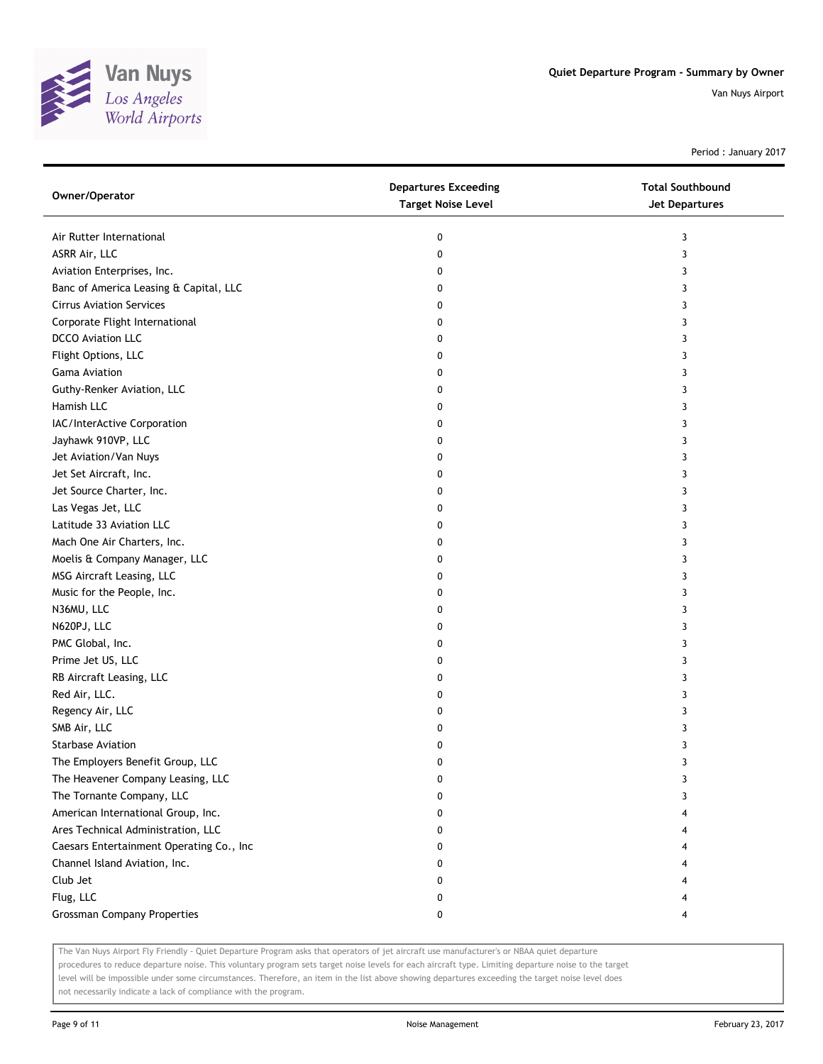

Period : January 2017

| Owner/Operator                           | <b>Departures Exceeding</b><br><b>Target Noise Level</b> | <b>Total Southbound</b><br><b>Jet Departures</b> |
|------------------------------------------|----------------------------------------------------------|--------------------------------------------------|
| Air Rutter International                 | 0                                                        | 3                                                |
| ASRR Air, LLC                            | 0                                                        | 3                                                |
| Aviation Enterprises, Inc.               | 0                                                        | 3                                                |
| Banc of America Leasing & Capital, LLC   | 0                                                        | 3                                                |
| <b>Cirrus Aviation Services</b>          | 0                                                        | 3                                                |
| Corporate Flight International           | 0                                                        | 3                                                |
| <b>DCCO</b> Aviation LLC                 | 0                                                        | 3                                                |
| Flight Options, LLC                      | 0                                                        | 3                                                |
| <b>Gama Aviation</b>                     | 0                                                        | 3                                                |
| Guthy-Renker Aviation, LLC               | 0                                                        | 3                                                |
| Hamish LLC                               | 0                                                        | 3                                                |
| IAC/InterActive Corporation              | 0                                                        | 3                                                |
| Jayhawk 910VP, LLC                       | 0                                                        | 3                                                |
| Jet Aviation/Van Nuys                    | 0                                                        | 3                                                |
| Jet Set Aircraft, Inc.                   | 0                                                        | 3                                                |
| Jet Source Charter, Inc.                 | 0                                                        | 3                                                |
| Las Vegas Jet, LLC                       | 0                                                        | 3                                                |
| Latitude 33 Aviation LLC                 | 0                                                        | 3                                                |
| Mach One Air Charters, Inc.              | 0                                                        | 3                                                |
| Moelis & Company Manager, LLC            | 0                                                        | 3                                                |
| MSG Aircraft Leasing, LLC                | 0                                                        | 3                                                |
| Music for the People, Inc.               | 0                                                        | 3                                                |
| N36MU, LLC                               | 0                                                        | 3                                                |
| N620PJ, LLC                              | 0                                                        | 3                                                |
| PMC Global, Inc.                         | 0                                                        | 3                                                |
| Prime Jet US, LLC                        | 0                                                        | 3                                                |
| RB Aircraft Leasing, LLC                 | 0                                                        | 3                                                |
| Red Air, LLC.                            | 0                                                        | 3                                                |
| Regency Air, LLC                         | 0                                                        | 3                                                |
| SMB Air, LLC                             | 0                                                        | 3                                                |
| <b>Starbase Aviation</b>                 | 0                                                        | 3                                                |
| The Employers Benefit Group, LLC         | 0                                                        | 3                                                |
| The Heavener Company Leasing, LLC        | 0                                                        | 3                                                |
| The Tornante Company, LLC                | 0                                                        | 3                                                |
| American International Group, Inc.       | 0                                                        |                                                  |
| Ares Technical Administration, LLC       | 0                                                        |                                                  |
| Caesars Entertainment Operating Co., Inc | 0                                                        |                                                  |
| Channel Island Aviation, Inc.            | 0                                                        |                                                  |
| Club Jet                                 | 0                                                        |                                                  |
| Flug, LLC                                | 0                                                        |                                                  |
| <b>Grossman Company Properties</b>       | 0                                                        | 4                                                |

The Van Nuys Airport Fly Friendly - Quiet Departure Program asks that operators of jet aircraft use manufacturer's or NBAA quiet departure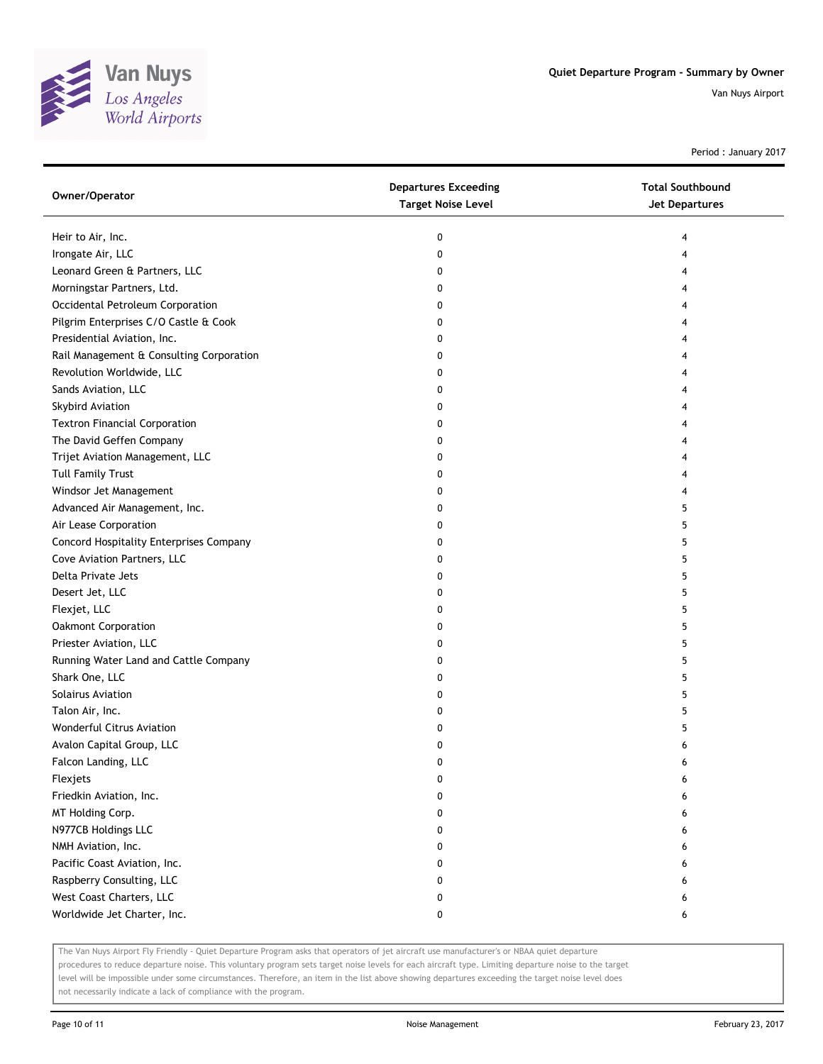

Period : January 2017

| Owner/Operator                           | <b>Departures Exceeding</b><br><b>Target Noise Level</b> | <b>Total Southbound</b><br>Jet Departures |
|------------------------------------------|----------------------------------------------------------|-------------------------------------------|
| Heir to Air, Inc.                        | 0                                                        | 4                                         |
| Irongate Air, LLC                        | 0                                                        | 4                                         |
| Leonard Green & Partners, LLC            | 0                                                        |                                           |
| Morningstar Partners, Ltd.               | 0                                                        |                                           |
| Occidental Petroleum Corporation         | 0                                                        |                                           |
| Pilgrim Enterprises C/O Castle & Cook    | 0                                                        |                                           |
| Presidential Aviation, Inc.              | 0                                                        |                                           |
| Rail Management & Consulting Corporation | 0                                                        |                                           |
| Revolution Worldwide, LLC                | 0                                                        |                                           |
| Sands Aviation, LLC                      | 0                                                        |                                           |
| Skybird Aviation                         | 0                                                        |                                           |
| <b>Textron Financial Corporation</b>     | 0                                                        |                                           |
| The David Geffen Company                 | 0                                                        |                                           |
| Trijet Aviation Management, LLC          | 0                                                        |                                           |
| <b>Tull Family Trust</b>                 | 0                                                        |                                           |
| Windsor Jet Management                   | 0                                                        |                                           |
| Advanced Air Management, Inc.            | 0                                                        | 5                                         |
| Air Lease Corporation                    | 0                                                        | 5                                         |
| Concord Hospitality Enterprises Company  | 0                                                        | 5                                         |
| Cove Aviation Partners, LLC              | 0                                                        | 5                                         |
| Delta Private Jets                       | 0                                                        | 5                                         |
| Desert Jet, LLC                          | 0                                                        | 5                                         |
| Flexjet, LLC                             | 0                                                        | 5                                         |
| Oakmont Corporation                      | 0                                                        | 5                                         |
| Priester Aviation, LLC                   | 0                                                        | 5                                         |
| Running Water Land and Cattle Company    | 0                                                        | 5                                         |
| Shark One, LLC                           | 0                                                        | 5                                         |
| <b>Solairus Aviation</b>                 | 0                                                        | 5                                         |
| Talon Air, Inc.                          | 0                                                        | 5                                         |
| Wonderful Citrus Aviation                | 0                                                        | 5                                         |
| Avalon Capital Group, LLC                | 0                                                        | 6                                         |
| Falcon Landing, LLC                      | 0                                                        | 6                                         |
| Flexjets                                 | 0                                                        | 6                                         |
| Friedkin Aviation, Inc.                  | 0                                                        |                                           |
| MT Holding Corp.                         | 0                                                        |                                           |
| N977CB Holdings LLC                      | 0                                                        | 6                                         |
| NMH Aviation, Inc.                       | 0                                                        | 6                                         |
| Pacific Coast Aviation, Inc.             | 0                                                        |                                           |
| Raspberry Consulting, LLC                | 0                                                        |                                           |
| West Coast Charters, LLC                 | 0                                                        | 6                                         |
| Worldwide Jet Charter, Inc.              | 0                                                        | 6                                         |

The Van Nuys Airport Fly Friendly - Quiet Departure Program asks that operators of jet aircraft use manufacturer's or NBAA quiet departure